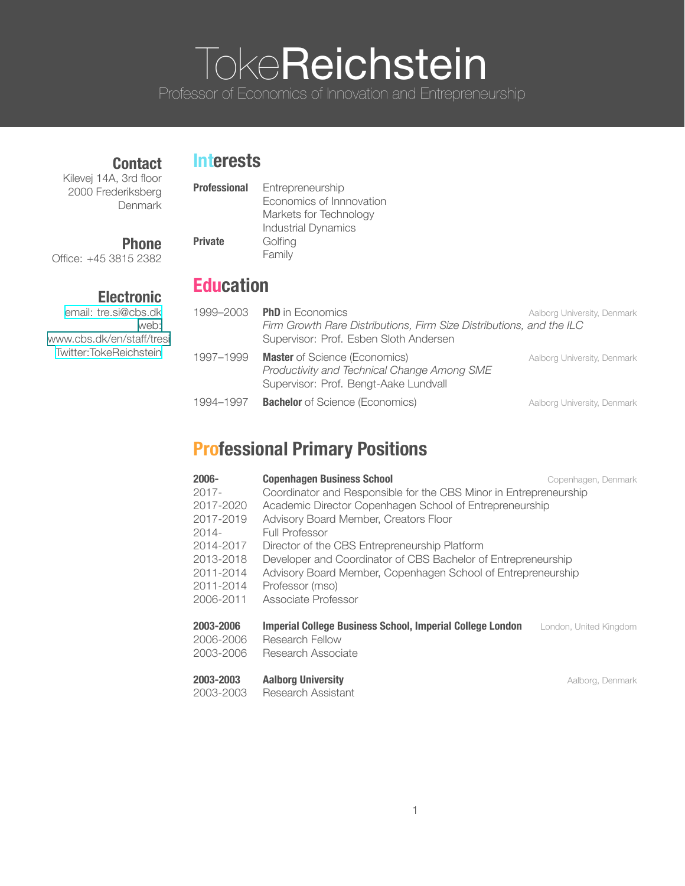# **TokeReichstein**

Professor of Economics of Innovation and Entrepreneurship

#### **Contact**

#### **Interests**

Kilevej 14A, 3rd floor 2000 Frederiksberg Denmark

#### **Professional** Entrepreneurship

## **Phone**

Office: +45 3815 2382

#### **Electronic**

email: [tre.si@cbs.dk](mailto: tre.si@cbs.dk) web: www.cbs.dk/en/staff/tresi [Twitter:TokeReichstein](https://twitter.com/TokeReichstein)

|                | Economics of Innnovation   |
|----------------|----------------------------|
|                | Markets for Technology     |
|                | <b>Industrial Dynamics</b> |
| <b>Private</b> | Golfing                    |
|                | Family                     |
|                |                            |

## **Education**

| 1999–2003 | <b>PhD</b> in Economics<br>Firm Growth Rare Distributions, Firm Size Distributions, and the ILC<br>Supervisor: Prof. Esben Sloth Andersen | Aalborg University, Denmark |
|-----------|-------------------------------------------------------------------------------------------------------------------------------------------|-----------------------------|
| 1997-1999 | <b>Master</b> of Science (Economics)<br>Productivity and Technical Change Among SME<br>Supervisor: Prof. Bengt-Aake Lundvall              | Aalborg University, Denmark |
| 1994–1997 | <b>Bachelor</b> of Science (Economics)                                                                                                    | Aalborg University, Denmark |

## **Professional Primary Positions**

| $2006 -$<br>$2017 -$<br>2017-2020<br>2017-2019<br>$2014 -$<br>2014-2017<br>2013-2018<br>2011-2014<br>2011-2014<br>2006-2011 | <b>Copenhagen Business School</b><br>Coordinator and Responsible for the CBS Minor in Entrepreneurship<br>Academic Director Copenhagen School of Entrepreneurship<br>Advisory Board Member, Creators Floor<br><b>Full Professor</b><br>Director of the CBS Entrepreneurship Platform<br>Developer and Coordinator of CBS Bachelor of Entrepreneurship<br>Advisory Board Member, Copenhagen School of Entrepreneurship<br>Professor (mso)<br>Associate Professor | Copenhagen, Denmark    |
|-----------------------------------------------------------------------------------------------------------------------------|-----------------------------------------------------------------------------------------------------------------------------------------------------------------------------------------------------------------------------------------------------------------------------------------------------------------------------------------------------------------------------------------------------------------------------------------------------------------|------------------------|
| 2003-2006<br>2006-2006<br>2003-2006                                                                                         | Imperial College Business School, Imperial College London<br>Research Fellow<br>Research Associate                                                                                                                                                                                                                                                                                                                                                              | London, United Kingdom |

#### **2003-2003 Aalborg University Addustration Control Addustration Addustration Addustration Addustration Addustration Addustration Addustration Addustration Addustration Addustration Addustration Addustration Addustratio**

2003-2003 Research Assistant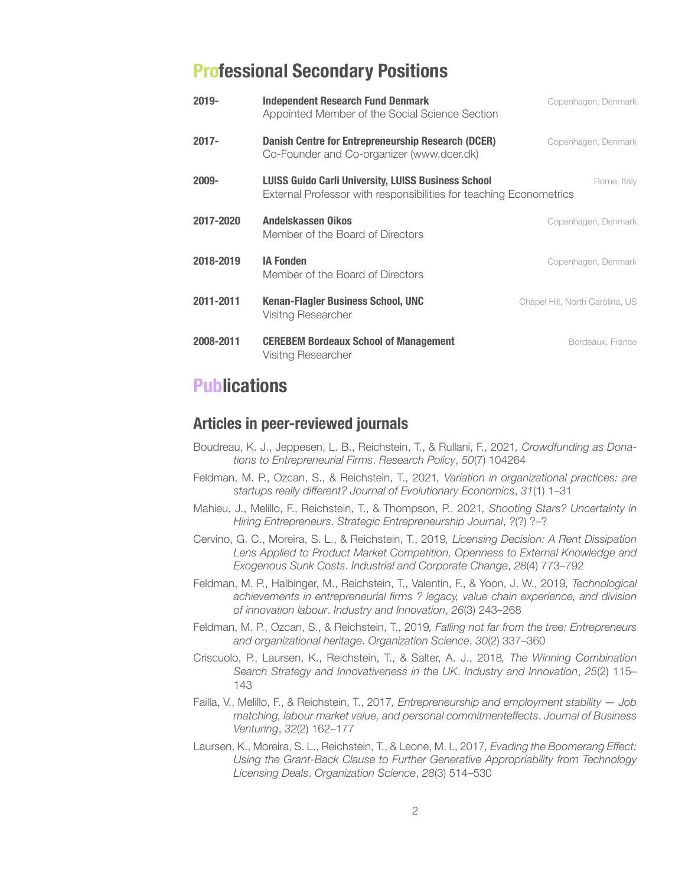## **Professional Secondary Positions**

| 2019-     | <b>Independent Research Fund Denmark</b><br>Appointed Member of the Social Science Section                                       | Copenhagen, Denmark             |
|-----------|----------------------------------------------------------------------------------------------------------------------------------|---------------------------------|
| $2017 -$  | Danish Centre for Entrepreneurship Research (DCER)<br>Co-Founder and Co-organizer (www.dcer.dk)                                  | Copenhagen, Denmark             |
| 2009-     | <b>LUISS Guido Carli University, LUISS Business School</b><br>External Professor with responsibilities for teaching Econometrics | Rome, Italy                     |
| 2017-2020 | Andelskassen Oikos<br>Member of the Board of Directors                                                                           | Copenhagen, Denmark             |
| 2018-2019 | <b>IA Fonden</b><br>Member of the Board of Directors                                                                             | Copenhagen, Denmark             |
| 2011-2011 | Kenan-Flagler Business School, UNC<br>Visitng Researcher                                                                         | Chapel Hill, North Carolina, US |
| 2008-2011 | <b>CEREBEM Bordeaux School of Management</b><br>Visitng Researcher                                                               | Bordeaux, France                |

## **Publications**

#### **Articles in peer-reviewed journals**

- Boudreau, K. J., Jeppesen, L. B., Reichstein, T., & Rullani, F., 2021*, Crowdfunding as Donations to Entrepreneurial Firms*. *Research Policy*, *50*(7) 104264
- Feldman, M. P., Ozcan, S., & Reichstein, T., 2021*, Variation in organizational practices: are startups really different? Journal of Evolutionary Economics*, *31*(1) 1–31
- Mahieu, J., Melillo, F., Reichstein, T., & Thompson, P., 2021*, Shooting Stars? Uncertainty in Hiring Entrepreneurs*. *Strategic Entrepreneurship Journal*, *?*(?) ?–?
- Cervino, G. C., Moreira, S. L., & Reichstein, T., 2019*, Licensing Decision: A Rent Dissipation Lens Applied to Product Market Competition, Openness to External Knowledge and Exogenous Sunk Costs*. *Industrial and Corporate Change*, *28*(4) 773–792
- Feldman, M. P., Halbinger, M., Reichstein, T., Valentin, F., & Yoon, J. W., 2019*, Technological achievements in entrepreneurial firms ? legacy, value chain experience, and division of innovation labour*. *Industry and Innovation*, *26*(3) 243–268
- Feldman, M. P., Ozcan, S., & Reichstein, T., 2019*, Falling not far from the tree: Entrepreneurs and organizational heritage*. *Organization Science*, *30*(2) 337–360
- Criscuolo, P., Laursen, K., Reichstein, T., & Salter, A. J., 2018*, The Winning Combination Search Strategy and Innovativeness in the UK*. *Industry and Innovation*, *25*(2) 115– 143
- Failla, V., Melillo, F., & Reichstein, T., 2017*, Entrepreneurship and employment stability — Job matching, labour market value, and personal commitmenteffects*. *Journal of Business Venturing*, *32*(2) 162–177
- Laursen, K., Moreira, S. L., Reichstein, T., & Leone, M. I., 2017*, Evading the Boomerang Effect: Using the Grant-Back Clause to Further Generative Appropriability from Technology Licensing Deals*. *Organization Science*, *28*(3) 514–530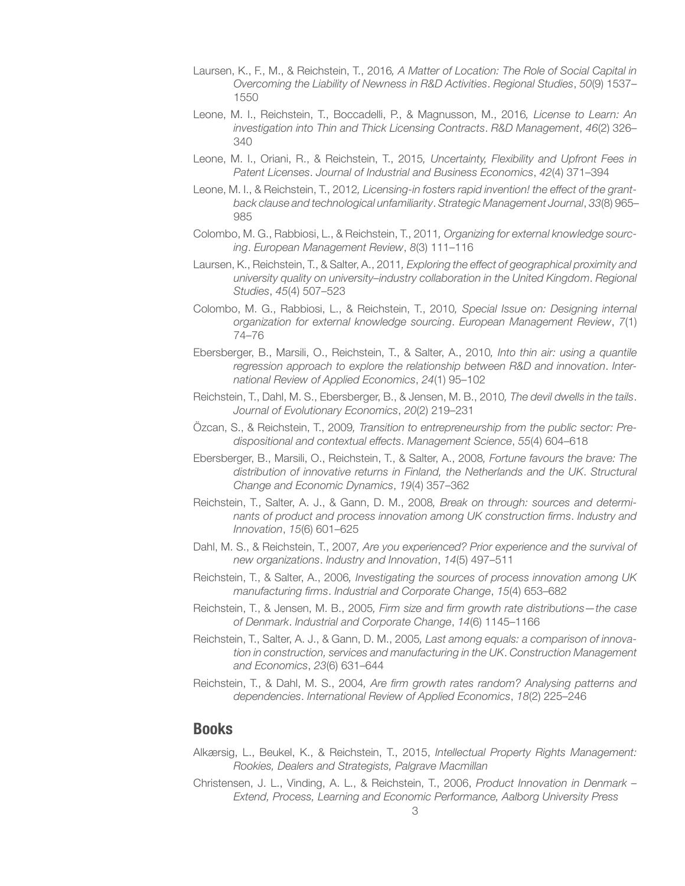- Laursen, K., F., M., & Reichstein, T., 2016*, A Matter of Location: The Role of Social Capital in Overcoming the Liability of Newness in R&D Activities*. *Regional Studies*, *50*(9) 1537– 1550
- Leone, M. I., Reichstein, T., Boccadelli, P., & Magnusson, M., 2016*, License to Learn: An investigation into Thin and Thick Licensing Contracts*. *R&D Management*, *46*(2) 326– 340
- Leone, M. I., Oriani, R., & Reichstein, T., 2015*, Uncertainty, Flexibility and Upfront Fees in Patent Licenses*. *Journal of Industrial and Business Economics*, *42*(4) 371–394
- Leone, M. I., & Reichstein, T., 2012*, Licensing-in fosters rapid invention! the effect of the grantback clause and technological unfamiliarity*. *Strategic Management Journal*, *33*(8) 965– 985
- Colombo, M. G., Rabbiosi, L., & Reichstein, T., 2011*, Organizing for external knowledge sourcing*. *European Management Review*, *8*(3) 111–116
- Laursen, K., Reichstein, T., & Salter, A., 2011*, Exploring the effect of geographical proximity and university quality on university–industry collaboration in the United Kingdom*. *Regional Studies*, *45*(4) 507–523
- Colombo, M. G., Rabbiosi, L., & Reichstein, T., 2010*, Special Issue on: Designing internal organization for external knowledge sourcing*. *European Management Review*, *7*(1) 74–76
- Ebersberger, B., Marsili, O., Reichstein, T., & Salter, A., 2010*, Into thin air: using a quantile regression approach to explore the relationship between R&D and innovation*. *International Review of Applied Economics*, *24*(1) 95–102
- Reichstein, T., Dahl, M. S., Ebersberger, B., & Jensen, M. B., 2010*, The devil dwells in the tails*. *Journal of Evolutionary Economics*, *20*(2) 219–231
- Özcan, S., & Reichstein, T., 2009*, Transition to entrepreneurship from the public sector: Predispositional and contextual effects*. *Management Science*, *55*(4) 604–618
- Ebersberger, B., Marsili, O., Reichstein, T., & Salter, A., 2008*, Fortune favours the brave: The distribution of innovative returns in Finland, the Netherlands and the UK*. *Structural Change and Economic Dynamics*, *19*(4) 357–362
- Reichstein, T., Salter, A. J., & Gann, D. M., 2008*, Break on through: sources and determinants of product and process innovation among UK construction firms*. *Industry and Innovation*, *15*(6) 601–625
- Dahl, M. S., & Reichstein, T., 2007*, Are you experienced? Prior experience and the survival of new organizations*. *Industry and Innovation*, *14*(5) 497–511
- Reichstein, T., & Salter, A., 2006*, Investigating the sources of process innovation among UK manufacturing firms*. *Industrial and Corporate Change*, *15*(4) 653–682
- Reichstein, T., & Jensen, M. B., 2005*, Firm size and firm growth rate distributions—the case of Denmark*. *Industrial and Corporate Change*, *14*(6) 1145–1166
- Reichstein, T., Salter, A. J., & Gann, D. M., 2005*, Last among equals: a comparison of innovation in construction, services and manufacturing in the UK*. *Construction Management and Economics*, *23*(6) 631–644
- Reichstein, T., & Dahl, M. S., 2004*, Are firm growth rates random? Analysing patterns and dependencies*. *International Review of Applied Economics*, *18*(2) 225–246

#### **Books**

- Alkærsig, L., Beukel, K., & Reichstein, T., 2015, *Intellectual Property Rights Management: Rookies, Dealers and Strategists, Palgrave Macmillan*
- Christensen, J. L., Vinding, A. L., & Reichstein, T., 2006, *Product Innovation in Denmark – Extend, Process, Learning and Economic Performance, Aalborg University Press*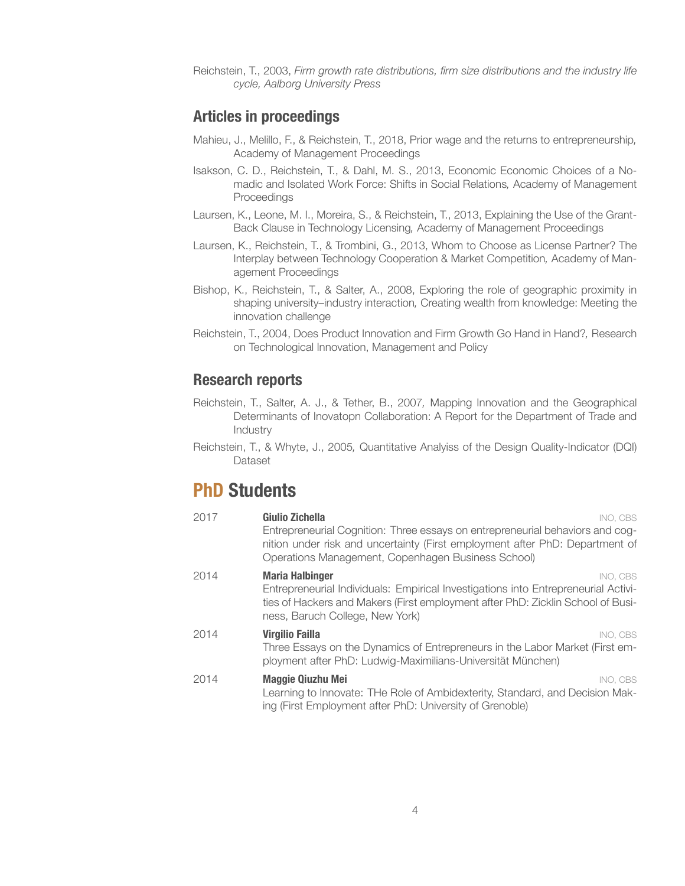Reichstein, T., 2003, *Firm growth rate distributions, firm size distributions and the industry life cycle, Aalborg University Press*

#### **Articles in proceedings**

- Mahieu, J., Melillo, F., & Reichstein, T., 2018, Prior wage and the returns to entrepreneurship*,* Academy of Management Proceedings
- Isakson, C. D., Reichstein, T., & Dahl, M. S., 2013, Economic Economic Choices of a Nomadic and Isolated Work Force: Shifts in Social Relations*,* Academy of Management Proceedings
- Laursen, K., Leone, M. I., Moreira, S., & Reichstein, T., 2013, Explaining the Use of the Grant-Back Clause in Technology Licensing*,* Academy of Management Proceedings
- Laursen, K., Reichstein, T., & Trombini, G., 2013, Whom to Choose as License Partner? The Interplay between Technology Cooperation & Market Competition*,* Academy of Management Proceedings
- Bishop, K., Reichstein, T., & Salter, A., 2008, Exploring the role of geographic proximity in shaping university–industry interaction*,* Creating wealth from knowledge: Meeting the innovation challenge
- Reichstein, T., 2004, Does Product Innovation and Firm Growth Go Hand in Hand?*,* Research on Technological Innovation, Management and Policy

#### **Research reports**

- Reichstein, T., Salter, A. J., & Tether, B., 2007*,* Mapping Innovation and the Geographical Determinants of Inovatopn Collaboration: A Report for the Department of Trade and Industry
- Reichstein, T., & Whyte, J., 2005*,* Quantitative Analyiss of the Design Quality-Indicator (DQI) Dataset

## **PhD Students**

| 2017 | Giulio Zichella<br>INO. CBS                                                                                                                                                                                         |
|------|---------------------------------------------------------------------------------------------------------------------------------------------------------------------------------------------------------------------|
|      | Entrepreneurial Cognition: Three essays on entrepreneurial behaviors and cog-<br>nition under risk and uncertainty (First employment after PhD: Department of<br>Operations Management, Copenhagen Business School) |
| 2014 | <b>Maria Halbinger</b><br>INO. CBS                                                                                                                                                                                  |
|      | Entrepreneurial Individuals: Empirical Investigations into Entrepreneurial Activi-<br>ties of Hackers and Makers (First employment after PhD: Zicklin School of Busi-<br>ness, Baruch College, New York)            |
| 2014 | <b>Virgilio Failla</b><br>INO, CBS                                                                                                                                                                                  |
|      | Three Essays on the Dynamics of Entrepreneurs in the Labor Market (First em-<br>ployment after PhD: Ludwig-Maximilians-Universität München)                                                                         |
| 2014 | <b>Maggie Qiuzhu Mei</b><br>INO. CBS                                                                                                                                                                                |
|      | Learning to Innovate: THe Role of Ambidexterity, Standard, and Decision Mak-<br>ing (First Employment after PhD: University of Grenoble)                                                                            |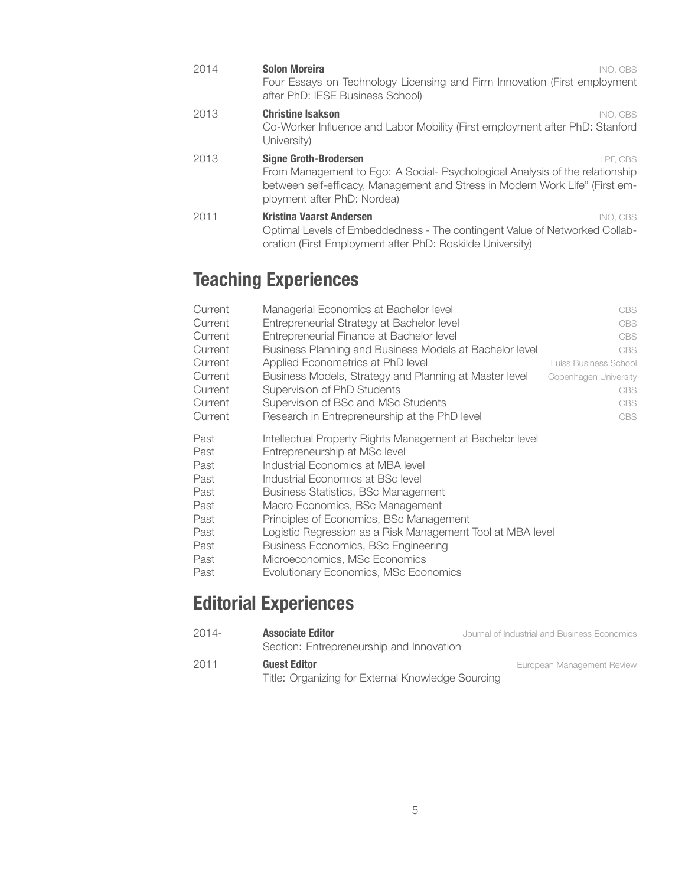| 2014 | <b>Solon Moreira</b><br>INO. CBS<br>Four Essays on Technology Licensing and Firm Innovation (First employment<br>after PhD: IESE Business School)                                                                                       |
|------|-----------------------------------------------------------------------------------------------------------------------------------------------------------------------------------------------------------------------------------------|
| 2013 | <b>Christine Isakson</b><br>INO. CBS<br>Co-Worker Influence and Labor Mobility (First employment after PhD: Stanford<br>University)                                                                                                     |
| 2013 | <b>Signe Groth-Brodersen</b><br>LPF. CBS<br>From Management to Ego: A Social- Psychological Analysis of the relationship<br>between self-efficacy, Management and Stress in Modern Work Life" (First em-<br>ployment after PhD: Nordea) |
| 2011 | Kristina Vaarst Andersen<br>INO. CBS<br>Optimal Levels of Embeddedness - The contingent Value of Networked Collab-<br>oration (First Employment after PhD: Roskilde University)                                                         |

## **Teaching Experiences**

| Current | Managerial Economics at Bachelor level                    | <b>CBS</b>            |
|---------|-----------------------------------------------------------|-----------------------|
| Current | Entrepreneurial Strategy at Bachelor level                | <b>CBS</b>            |
| Current | Entrepreneurial Finance at Bachelor level                 | <b>CBS</b>            |
| Current | Business Planning and Business Models at Bachelor level   | <b>CBS</b>            |
| Current | Applied Econometrics at PhD level                         | Luiss Business School |
| Current | Business Models, Strategy and Planning at Master level    | Copenhagen University |
| Current | Supervision of PhD Students                               | <b>CBS</b>            |
| Current | Supervision of BSc and MSc Students                       | <b>CBS</b>            |
| Current | Research in Entrepreneurship at the PhD level             | <b>CBS</b>            |
| Past    | Intellectual Property Rights Management at Bachelor level |                       |
| Past    | Entrepreneurship at MSc level                             |                       |
| Past    | Industrial Economics at MBA level                         |                       |
| Past    | Industrial Economics at BSc level                         |                       |

- Past Industrial Economics at BSc level
- Past Business Statistics, BSc Management
- Past Macro Economics, BSc Management
- Past Principles of Economics, BSc Management
- Past Logistic Regression as a Risk Management Tool at MBA level
- Past Business Economics, BSc Engineering
- Past Microeconomics, MSc Economics
- Past Evolutionary Economics, MSc Economics

## **Editorial Experiences**

| $2014-$ | <b>Associate Editor</b><br>Section: Entrepreneurship and Innovation      | Journal of Industrial and Business Economics |
|---------|--------------------------------------------------------------------------|----------------------------------------------|
| 2011    | <b>Guest Editor</b><br>Title: Organizing for External Knowledge Sourcing | European Management Review                   |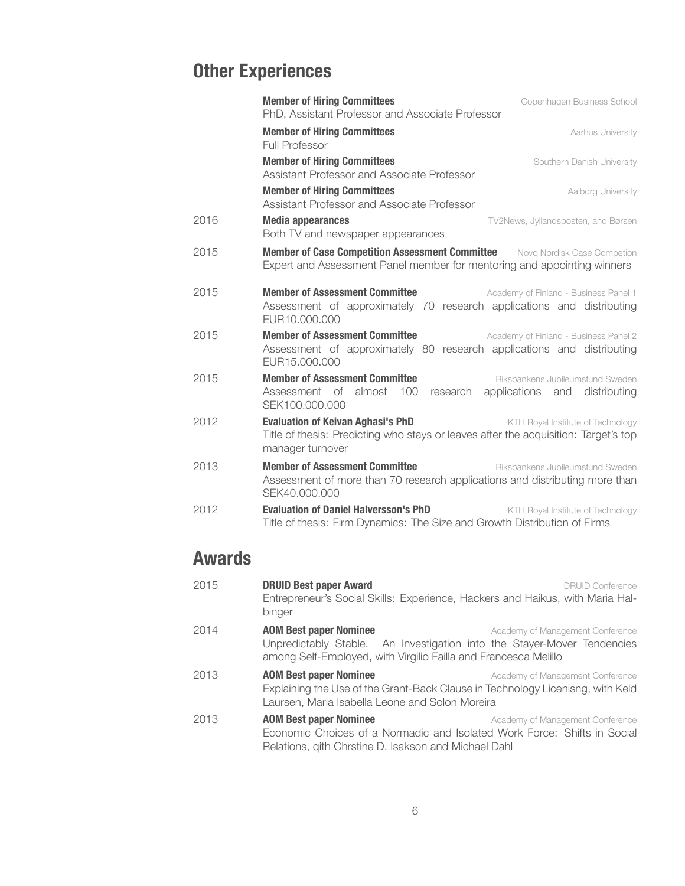# **Other Experiences**

|      | <b>Member of Hiring Committees</b><br>Copenhagen Business School<br>PhD, Assistant Professor and Associate Professor                                                                     |
|------|------------------------------------------------------------------------------------------------------------------------------------------------------------------------------------------|
|      | <b>Member of Hiring Committees</b><br>Aarhus University<br>Full Professor                                                                                                                |
|      | <b>Member of Hiring Committees</b><br>Southern Danish University<br>Assistant Professor and Associate Professor                                                                          |
|      | <b>Member of Hiring Committees</b><br>Aalborg University<br>Assistant Professor and Associate Professor                                                                                  |
| 2016 | <b>Media appearances</b><br>TV2News, Jyllandsposten, and Børsen<br>Both TV and newspaper appearances                                                                                     |
| 2015 | <b>Member of Case Competition Assessment Committee</b> Novo Nordisk Case Competion<br>Expert and Assessment Panel member for mentoring and appointing winners                            |
| 2015 | <b>Member of Assessment Committee</b><br>Academy of Finland - Business Panel 1<br>Assessment of approximately 70 research applications and distributing<br>EUR10.000.000                 |
| 2015 | <b>Member of Assessment Committee</b><br>Academy of Finland - Business Panel 2<br>Assessment of approximately 80 research applications and distributing<br>EUR15,000,000                 |
| 2015 | <b>Member of Assessment Committee</b><br>Riksbankens Jubileumsfund Sweden<br>100<br>Assessment of almost<br>research<br>applications and distributing<br>SEK100.000.000                  |
| 2012 | <b>Evaluation of Keivan Aghasi's PhD</b><br>KTH Royal Institute of Technology<br>Title of thesis: Predicting who stays or leaves after the acquisition: Target's top<br>manager turnover |
| 2013 | <b>Member of Assessment Committee</b><br>Riksbankens Jubileumsfund Sweden<br>Assessment of more than 70 research applications and distributing more than<br>SEK40.000.000                |
| 2012 | <b>Evaluation of Daniel Halversson's PhD</b><br>KTH Royal Institute of Technology<br>Title of thesis: Firm Dynamics: The Size and Growth Distribution of Firms                           |

# **Awards**

| 2015 | <b>DRUID Best paper Award</b><br>Entrepreneur's Social Skills: Experience, Hackers and Haikus, with Maria Hal-<br>binger                                                    | <b>DRUID Conference</b>          |
|------|-----------------------------------------------------------------------------------------------------------------------------------------------------------------------------|----------------------------------|
| 2014 | <b>AOM Best paper Nominee</b><br>Unpredictably Stable. An Investigation into the Stayer-Mover Tendencies<br>among Self-Employed, with Virgilio Failla and Francesca Melillo | Academy of Management Conference |
| 2013 | <b>AOM Best paper Nominee</b><br>Explaining the Use of the Grant-Back Clause in Technology Licenisng, with Keld<br>Laursen, Maria Isabella Leone and Solon Moreira          | Academy of Management Conference |
| 2013 | <b>AOM Best paper Nominee</b><br>Economic Choices of a Normadic and Isolated Work Force: Shifts in Social<br>Relations, gith Chrstine D. Isakson and Michael Dahl           | Academy of Management Conference |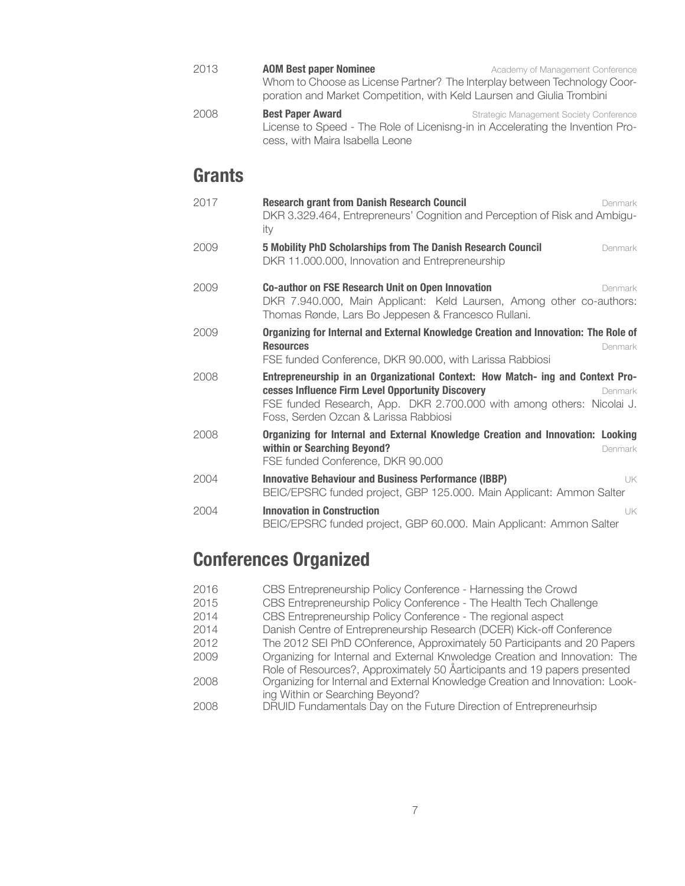- **2013 AOM Best paper Nominee Academy of Management Conference** Whom to Choose as License Partner? The Interplay between Technology Coorporation and Market Competition, with Keld Laursen and Giulia Trombini
- **2008 Best Paper Award Best Paper Award** Strategic Management Society Conference License to Speed - The Role of Licenisng-in in Accelerating the Invention Process, with Maira Isabella Leone

## **Grants**

| 2017 | <b>Research grant from Danish Research Council</b><br>Denmark<br>DKR 3.329.464, Entrepreneurs' Cognition and Perception of Risk and Ambigu-<br>ity                                                                                                               |
|------|------------------------------------------------------------------------------------------------------------------------------------------------------------------------------------------------------------------------------------------------------------------|
| 2009 | 5 Mobility PhD Scholarships from The Danish Research Council<br>Denmark<br>DKR 11.000.000, Innovation and Entrepreneurship                                                                                                                                       |
| 2009 | <b>Co-author on FSE Research Unit on Open Innovation</b><br>Denmark<br>DKR 7.940.000, Main Applicant: Keld Laursen, Among other co-authors:<br>Thomas Rønde, Lars Bo Jeppesen & Francesco Rullani.                                                               |
| 2009 | Organizing for Internal and External Knowledge Creation and Innovation: The Role of<br><b>Resources</b><br>Denmark<br>FSE funded Conference, DKR 90.000, with Larissa Rabbiosi                                                                                   |
| 2008 | Entrepreneurship in an Organizational Context: How Match- ing and Context Pro-<br>cesses Influence Firm Level Opportunity Discovery<br>Denmark<br>FSE funded Research, App. DKR 2.700.000 with among others: Nicolai J.<br>Foss, Serden Ozcan & Larissa Rabbiosi |
| 2008 | Organizing for Internal and External Knowledge Creation and Innovation: Looking<br>within or Searching Beyond?<br>Denmark<br>FSE funded Conference, DKR 90.000                                                                                                   |
| 2004 | <b>Innovative Behaviour and Business Performance (IBBP)</b><br>UK.<br>BEIC/EPSRC funded project, GBP 125.000. Main Applicant: Ammon Salter                                                                                                                       |
| 2004 | <b>Innovation in Construction</b><br>UK.<br>BEIC/EPSRC funded project, GBP 60.000. Main Applicant: Ammon Salter                                                                                                                                                  |

# **Conferences Organized**

| 2016 | CBS Entrepreneurship Policy Conference - Harnessing the Crowd                 |
|------|-------------------------------------------------------------------------------|
| 2015 | CBS Entrepreneurship Policy Conference - The Health Tech Challenge            |
| 2014 | CBS Entrepreneurship Policy Conference - The regional aspect                  |
| 2014 | Danish Centre of Entrepreneurship Research (DCER) Kick-off Conference         |
| 2012 | The 2012 SEI PhD COnference, Approximately 50 Participants and 20 Papers      |
| 2009 | Organizing for Internal and External Knwoledge Creation and Innovation: The   |
|      | Role of Resources?, Approximately 50 Åarticipants and 19 papers presented     |
| 2008 | Organizing for Internal and External Knowledge Creation and Innovation: Look- |
|      | ing Within or Searching Beyond?                                               |
| 2008 | DRUID Fundamentals Day on the Future Direction of Entrepreneurhsip            |